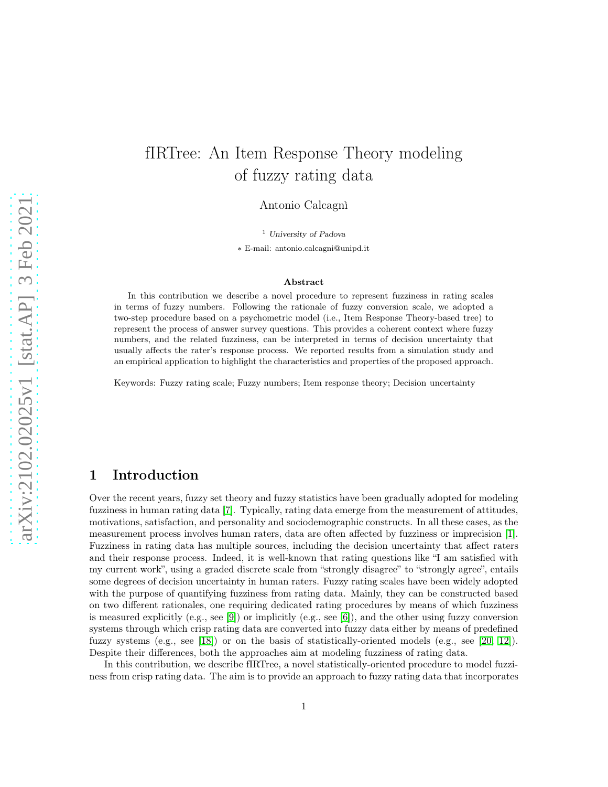# fIRTree: An Item Response Theory modeling of fuzzy rating data

Antonio Calcagnì

<sup>1</sup> University of Padova

∗ E-mail: antonio.calcagni@unipd.it

#### Abstract

In this contribution we describe a novel procedure to represent fuzziness in rating scales in terms of fuzzy numbers. Following the rationale of fuzzy conversion scale, we adopted a two-step procedure based on a psychometric model (i.e., Item Response Theory-based tree) to represent the process of answer survey questions. This provides a coherent context where fuzzy numbers, and the related fuzziness, can be interpreted in terms of decision uncertainty that usually affects the rater's response process. We reported results from a simulation study and an empirical application to highlight the characteristics and properties of the proposed approach.

Keywords: Fuzzy rating scale; Fuzzy numbers; Item response theory; Decision uncertainty

## 1 Introduction

Over the recent years, fuzzy set theory and fuzzy statistics have been gradually adopted for modeling fuzziness in human rating data [\[7\]](#page-9-0). Typically, rating data emerge from the measurement of attitudes, motivations, satisfaction, and personality and sociodemographic constructs. In all these cases, as the measurement process involves human raters, data are often affected by fuzziness or imprecision [\[1\]](#page-9-1). Fuzziness in rating data has multiple sources, including the decision uncertainty that affect raters and their response process. Indeed, it is well-known that rating questions like "I am satisfied with my current work", using a graded discrete scale from "strongly disagree" to "strongly agree", entails some degrees of decision uncertainty in human raters. Fuzzy rating scales have been widely adopted with the purpose of quantifying fuzziness from rating data. Mainly, they can be constructed based on two different rationales, one requiring dedicated rating procedures by means of which fuzziness is measured explicitly (e.g., see [\[9\]](#page-9-2)) or implicitly (e.g., see [\[6\]](#page-9-3)), and the other using fuzzy conversion systems through which crisp rating data are converted into fuzzy data either by means of predefined fuzzy systems (e.g., see [\[18\]](#page-10-0)) or on the basis of statistically-oriented models (e.g., see [\[20,](#page-10-1) [12\]](#page-9-4)). Despite their differences, both the approaches aim at modeling fuzziness of rating data.

In this contribution, we describe fIRTree, a novel statistically-oriented procedure to model fuzziness from crisp rating data. The aim is to provide an approach to fuzzy rating data that incorporates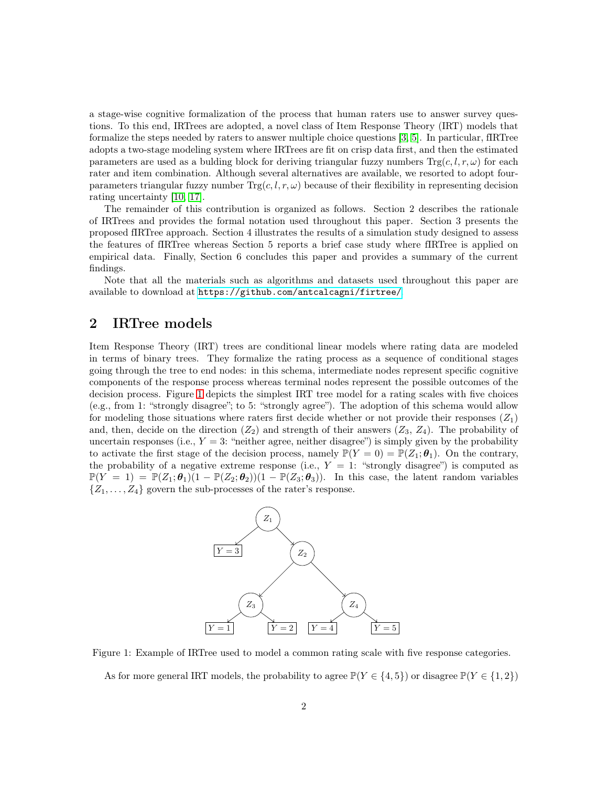a stage-wise cognitive formalization of the process that human raters use to answer survey questions. To this end, IRTrees are adopted, a novel class of Item Response Theory (IRT) models that formalize the steps needed by raters to answer multiple choice questions [\[3,](#page-9-5) [5\]](#page-9-6). In particular, fIRTree adopts a two-stage modeling system where IRTrees are fit on crisp data first, and then the estimated parameters are used as a bulding block for deriving triangular fuzzy numbers  $\text{Tr}g(c, l, r, \omega)$  for each rater and item combination. Although several alternatives are available, we resorted to adopt fourparameters triangular fuzzy number  $\text{Trg}(c, l, r, \omega)$  because of their flexibility in representing decision rating uncertainty [\[10,](#page-9-7) [17\]](#page-10-2).

The remainder of this contribution is organized as follows. Section 2 describes the rationale of IRTrees and provides the formal notation used throughout this paper. Section 3 presents the proposed fIRTree approach. Section 4 illustrates the results of a simulation study designed to assess the features of fIRTree whereas Section 5 reports a brief case study where fIRTree is applied on empirical data. Finally, Section 6 concludes this paper and provides a summary of the current findings.

Note that all the materials such as algorithms and datasets used throughout this paper are available to download at <https://github.com/antcalcagni/firtree/>.

#### 2 IRTree models

Item Response Theory (IRT) trees are conditional linear models where rating data are modeled in terms of binary trees. They formalize the rating process as a sequence of conditional stages going through the tree to end nodes: in this schema, intermediate nodes represent specific cognitive components of the response process whereas terminal nodes represent the possible outcomes of the decision process. Figure [1](#page-1-0) depicts the simplest IRT tree model for a rating scales with five choices (e.g., from 1: "strongly disagree"; to 5: "strongly agree"). The adoption of this schema would allow for modeling those situations where raters first decide whether or not provide their responses  $(Z_1)$ and, then, decide on the direction  $(Z_2)$  and strength of their answers  $(Z_3, Z_4)$ . The probability of uncertain responses (i.e.,  $Y = 3$ : "neither agree, neither disagree") is simply given by the probability to activate the first stage of the decision process, namely  $\mathbb{P}(Y=0) = \mathbb{P}(Z_1; \theta_1)$ . On the contrary, the probability of a negative extreme response (i.e.,  $Y = 1$ : "strongly disagree") is computed as  $\mathbb{P}(Y = 1) = \mathbb{P}(Z_1; \theta_1)(1 - \mathbb{P}(Z_2; \theta_2))(1 - \mathbb{P}(Z_3; \theta_3)).$  In this case, the latent random variables  $\{Z_1, \ldots, Z_4\}$  govern the sub-processes of the rater's response.



Figure 1: Example of IRTree used to model a common rating scale with five response categories.

<span id="page-1-0"></span>As for more general IRT models, the probability to agree  $\mathbb{P}(Y \in \{4,5\})$  or disagree  $\mathbb{P}(Y \in \{1,2\})$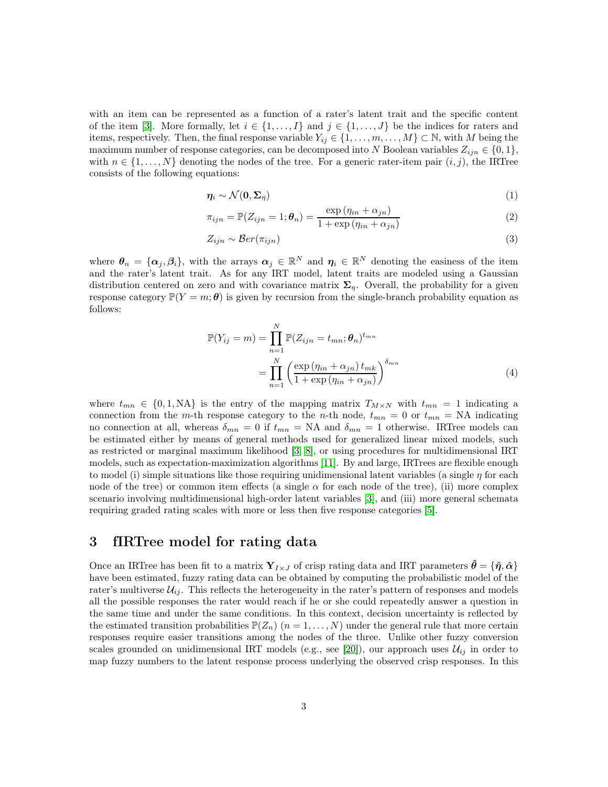with an item can be represented as a function of a rater's latent trait and the specific content of the item [\[3\]](#page-9-5). More formally, let  $i \in \{1, \ldots, I\}$  and  $j \in \{1, \ldots, J\}$  be the indices for raters and items, respectively. Then, the final response variable  $Y_{ij} \in \{1, \ldots, m, \ldots, M\} \subset \mathbb{N}$ , with M being the maximum number of response categories, can be decomposed into N Boolean variables  $Z_{ijn} \in \{0,1\}$ , with  $n \in \{1, \ldots, N\}$  denoting the nodes of the tree. For a generic rater-item pair  $(i, j)$ , the IRTree consists of the following equations:

$$
\eta_i \sim \mathcal{N}(\mathbf{0}, \Sigma_\eta) \tag{1}
$$

$$
\pi_{ijn} = \mathbb{P}(Z_{ijn} = 1; \boldsymbol{\theta}_n) = \frac{\exp(\eta_{in} + \alpha_{jn})}{1 + \exp(\eta_{in} + \alpha_{jn})}
$$
(2)

$$
Z_{ijn} \sim \mathcal{B}er(\pi_{ijn})
$$
\n<sup>(3)</sup>

where  $\theta_n = {\alpha_j, \beta_i}$ , with the arrays  $\alpha_j \in \mathbb{R}^N$  and  $\eta_i \in \mathbb{R}^N$  denoting the easiness of the item and the rater's latent trait. As for any IRT model, latent traits are modeled using a Gaussian distribution centered on zero and with covariance matrix  $\Sigma_n$ . Overall, the probability for a given response category  $\mathbb{P}(Y = m; \theta)$  is given by recursion from the single-branch probability equation as follows:

<span id="page-2-0"></span>
$$
\mathbb{P}(Y_{ij} = m) = \prod_{n=1}^{N} \mathbb{P}(Z_{ijn} = t_{mn}; \theta_n)^{t_{mn}}
$$

$$
= \prod_{n=1}^{N} \left( \frac{\exp(\eta_{in} + \alpha_{jn}) t_{mk}}{1 + \exp(\eta_{in} + \alpha_{jn})} \right)^{\delta_{mn}}
$$
(4)

where  $t_{mn} \in \{0, 1, NA\}$  is the entry of the mapping matrix  $T_{M \times N}$  with  $t_{mn} = 1$  indicating a connection from the m-th response category to the n-th node,  $t_{mn} = 0$  or  $t_{mn} = NA$  indicating no connection at all, whereas  $\delta_{mn} = 0$  if  $t_{mn} = NA$  and  $\delta_{mn} = 1$  otherwise. IRTree models can be estimated either by means of general methods used for generalized linear mixed models, such as restricted or marginal maximum likelihood [\[3,](#page-9-5) [8\]](#page-9-8), or using procedures for multidimensional IRT models, such as expectation-maximization algorithms [\[11\]](#page-9-9). By and large, IRTrees are flexible enough to model (i) simple situations like those requiring unidimensional latent variables (a single  $\eta$  for each node of the tree) or common item effects (a single  $\alpha$  for each node of the tree), (ii) more complex scenario involving multidimensional high-order latent variables [\[3\]](#page-9-5), and (iii) more general schemata requiring graded rating scales with more or less then five response categories [\[5\]](#page-9-6).

#### <span id="page-2-1"></span>3 fIRTree model for rating data

Once an IRTree has been fit to a matrix  $Y_{I\times J}$  of crisp rating data and IRT parameters  $\hat{\theta} = {\hat{\eta}, \hat{\alpha}}$ have been estimated, fuzzy rating data can be obtained by computing the probabilistic model of the rater's multiverse  $\mathcal{U}_{ij}$ . This reflects the heterogeneity in the rater's pattern of responses and models all the possible responses the rater would reach if he or she could repeatedly answer a question in the same time and under the same conditions. In this context, decision uncertainty is reflected by the estimated transition probabilities  $\mathbb{P}(Z_n)$   $(n = 1, \ldots, N)$  under the general rule that more certain responses require easier transitions among the nodes of the three. Unlike other fuzzy conversion scales grounded on unidimensional IRT models (e.g., see [\[20\]](#page-10-1)), our approach uses  $\mathcal{U}_{ij}$  in order to map fuzzy numbers to the latent response process underlying the observed crisp responses. In this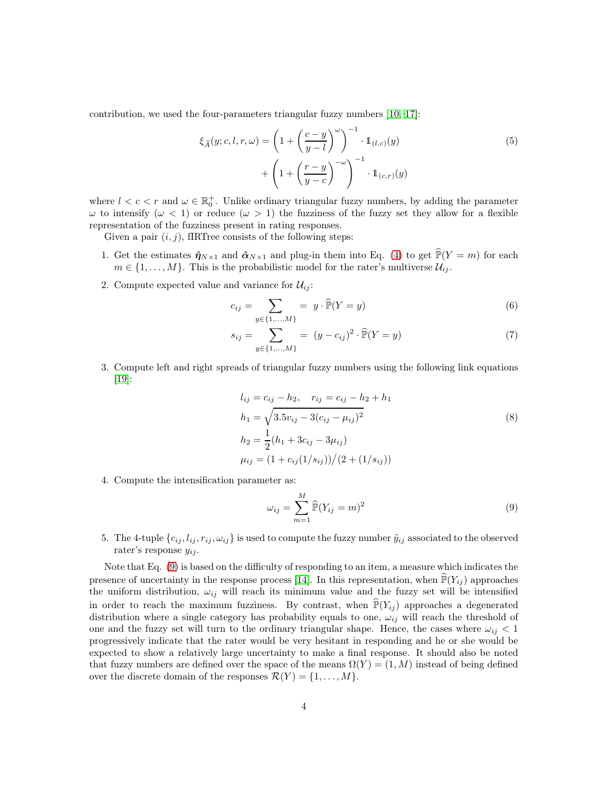contribution, we used the four-parameters triangular fuzzy numbers [\[10,](#page-9-7) [17\]](#page-10-2):

$$
\xi_{\widetilde{A}}(y;c,l,r,\omega) = \left(1 + \left(\frac{c-y}{y-l}\right)^{\omega}\right)^{-1} \cdot \mathbb{1}_{(l,c)}(y) \n+ \left(1 + \left(\frac{r-y}{y-c}\right)^{-\omega}\right)^{-1} \cdot \mathbb{1}_{(c,r)}(y)
$$
\n(5)

where  $l < c < r$  and  $\omega \in \mathbb{R}_0^+$ . Unlike ordinary triangular fuzzy numbers, by adding the parameter  $ω$  to intensify  $(ω < 1)$  or reduce  $(ω > 1)$  the fuzziness of the fuzzy set they allow for a flexible representation of the fuzziness present in rating responses.

Given a pair  $(i, j)$ , fIRTree consists of the following steps:

- 1. Get the estimates  $\hat{\eta}_{N\times 1}$  and  $\hat{\alpha}_{N\times 1}$  and plug-in them into Eq. [\(4\)](#page-2-0) to get  $\mathbb{P}(Y = m)$  for each  $m \in \{1, \ldots, M\}$ . This is the probabilistic model for the rater's multiverse  $\mathcal{U}_{ij}$ .
- 2. Compute expected value and variance for  $\mathcal{U}_{ij}$ :

$$
c_{ij} = \sum_{y \in \{1, ..., M\}} = y \cdot \widehat{\mathbb{P}}(Y = y)
$$
 (6)

$$
s_{ij} = \sum_{y \in \{1, ..., M\}} = (y - c_{ij})^2 \cdot \widehat{\mathbb{P}}(Y = y)
$$
\n(7)

3. Compute left and right spreads of triangular fuzzy numbers using the following link equations [\[19\]](#page-10-3):

$$
l_{ij} = c_{ij} - h_2, \quad r_{ij} = c_{ij} - h_2 + h_1
$$
  
\n
$$
h_1 = \sqrt{3.5v_{ij} - 3(c_{ij} - \mu_{ij})^2}
$$
  
\n
$$
h_2 = \frac{1}{2}(h_1 + 3c_{ij} - 3\mu_{ij})
$$
  
\n
$$
\mu_{ij} = (1 + c_{ij}(1/s_{ij}))/(2 + (1/s_{ij}))
$$
\n(8)

4. Compute the intensification parameter as:

<span id="page-3-0"></span>
$$
\omega_{ij} = \sum_{m=1}^{M} \widehat{\mathbb{P}}(Y_{ij} = m)^2
$$
\n(9)

5. The 4-tuple  $\{c_{ij}, l_{ij}, r_{ij}, \omega_{ij}\}$  is used to compute the fuzzy number  $\tilde{y}_{ij}$  associated to the observed rater's response  $y_{ij}$ .

Note that Eq. [\(9\)](#page-3-0) is based on the difficulty of responding to an item, a measure which indicates the presence of uncertainty in the response process [\[14\]](#page-9-10). In this representation, when  $\mathbb{P}(Y_{ij})$  approaches the uniform distribution,  $\omega_{ij}$  will reach its minimum value and the fuzzy set will be intensified in order to reach the maximum fuzziness. By contrast, when  $\mathbb{P}(Y_{ij})$  approaches a degenerated distribution where a single category has probability equals to one,  $\omega_{ij}$  will reach the threshold of one and the fuzzy set will turn to the ordinary triangular shape. Hence, the cases where  $\omega_{ij} < 1$ progressively indicate that the rater would be very hesitant in responding and he or she would be expected to show a relatively large uncertainty to make a final response. It should also be noted that fuzzy numbers are defined over the space of the means  $\Omega(Y) = (1, M)$  instead of being defined over the discrete domain of the responses  $\mathcal{R}(Y) = \{1, \ldots, M\}.$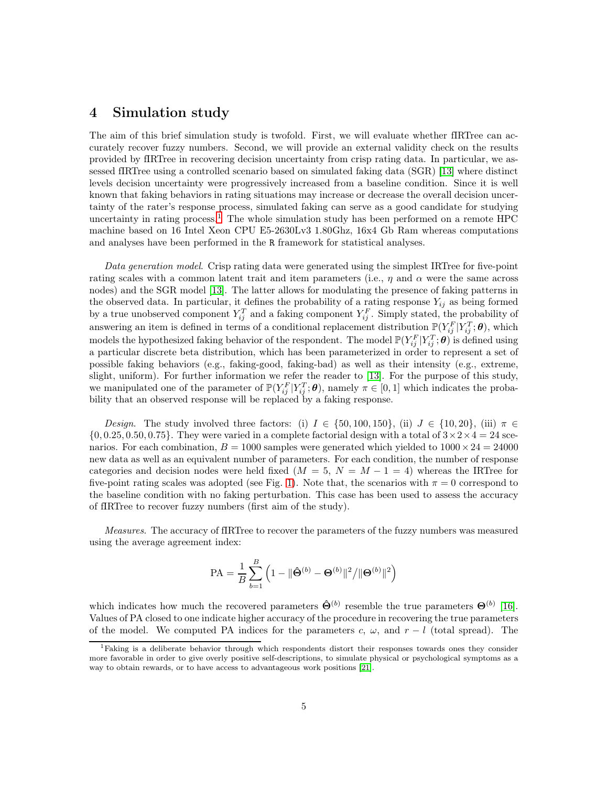### 4 Simulation study

The aim of this brief simulation study is twofold. First, we will evaluate whether fIRTree can accurately recover fuzzy numbers. Second, we will provide an external validity check on the results provided by fIRTree in recovering decision uncertainty from crisp rating data. In particular, we assessed fIRTree using a controlled scenario based on simulated faking data (SGR) [\[13\]](#page-9-11) where distinct levels decision uncertainty were progressively increased from a baseline condition. Since it is well known that faking behaviors in rating situations may increase or decrease the overall decision uncertainty of the rater's response process, simulated faking can serve as a good candidate for studying uncertainty in rating process.<sup>[1](#page-4-0)</sup> The whole simulation study has been performed on a remote HPC machine based on 16 Intel Xeon CPU E5-2630Lv3 1.80Ghz, 16x4 Gb Ram whereas computations and analyses have been performed in the R framework for statistical analyses.

*Data generation model*. Crisp rating data were generated using the simplest IRTree for five-point rating scales with a common latent trait and item parameters (i.e.,  $\eta$  and  $\alpha$  were the same across nodes) and the SGR model [\[13\]](#page-9-11). The latter allows for modulating the presence of faking patterns in the observed data. In particular, it defines the probability of a rating response  $Y_{ij}$  as being formed by a true unobserved component  $Y_{ij}^T$  and a faking component  $Y_{ij}^F$ . Simply stated, the probability of answering an item is defined in terms of a conditional replacement distribution  $\mathbb{P}(Y_{ij}^F | Y_{ij}^T; \theta)$ , which models the hypothesized faking behavior of the respondent. The model  $\mathbb{P}(Y_{ij}^F | Y_{ij}^T; \theta)$  is defined using a particular discrete beta distribution, which has been parameterized in order to represent a set of possible faking behaviors (e.g., faking-good, faking-bad) as well as their intensity (e.g., extreme, slight, uniform). For further information we refer the reader to [\[13\]](#page-9-11). For the purpose of this study, we manipulated one of the parameter of  $\mathbb{P}(Y_{ij}^F | Y_{ij}^T; \theta)$ , namely  $\pi \in [0, 1]$  which indicates the probability that an observed response will be replaced by a faking response.

*Design*. The study involved three factors: (i)  $I \in \{50, 100, 150\}$ , (ii)  $J \in \{10, 20\}$ , (iii)  $\pi \in$  $\{0, 0.25, 0.50, 0.75\}$ . They were varied in a complete factorial design with a total of  $3 \times 2 \times 4 = 24$  scenarios. For each combination,  $B = 1000$  samples were generated which yielded to  $1000 \times 24 = 24000$ new data as well as an equivalent number of parameters. For each condition, the number of response categories and decision nodes were held fixed ( $M = 5$ ,  $N = M - 1 = 4$ ) whereas the IRTree for five-point rating scales was adopted (see Fig. [1\)](#page-1-0). Note that, the scenarios with  $\pi = 0$  correspond to the baseline condition with no faking perturbation. This case has been used to assess the accuracy of fIRTree to recover fuzzy numbers (first aim of the study).

*Measures*. The accuracy of fIRTree to recover the parameters of the fuzzy numbers was measured using the average agreement index:

$$
PA = \frac{1}{B} \sum_{b=1}^{B} \left( 1 - ||\hat{\mathbf{\Theta}}^{(b)} - \mathbf{\Theta}^{(b)}||^2 / ||\mathbf{\Theta}^{(b)}||^2 \right)
$$

which indicates how much the recovered parameters  $\hat{\Theta}^{(b)}$  resemble the true parameters  $\Theta^{(b)}$  [\[16\]](#page-10-4). Values of PA closed to one indicate higher accuracy of the procedure in recovering the true parameters of the model. We computed PA indices for the parameters c,  $\omega$ , and  $r - l$  (total spread). The

<span id="page-4-0"></span><sup>&</sup>lt;sup>1</sup>Faking is a deliberate behavior through which respondents distort their responses towards ones they consider more favorable in order to give overly positive self-descriptions, to simulate physical or psychological symptoms as a way to obtain rewards, or to have access to advantageous work positions [\[21\]](#page-10-5).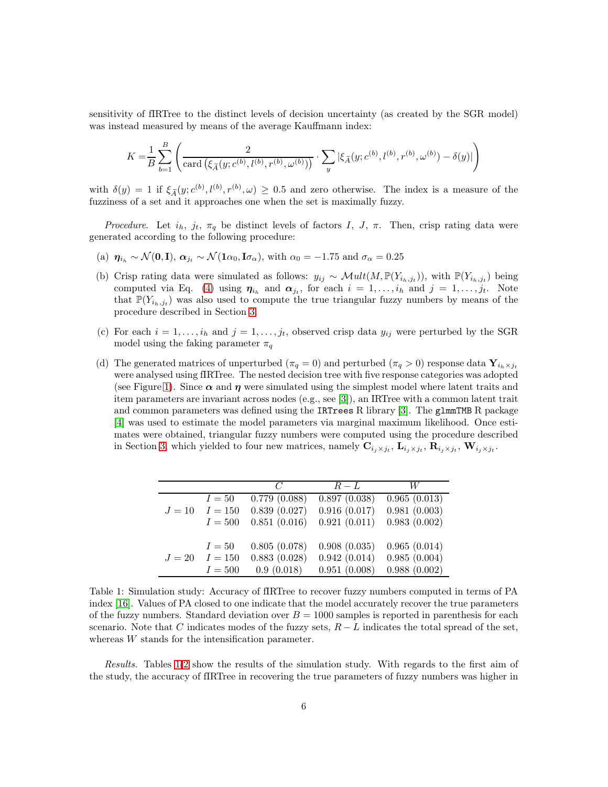sensitivity of fIRTree to the distinct levels of decision uncertainty (as created by the SGR model) was instead measured by means of the average Kauffmann index:

$$
K = \frac{1}{B} \sum_{b=1}^{B} \left( \frac{2}{\text{card}(\xi_{\widetilde{A}}(y; c^{(b)}, l^{(b)}, r^{(b)}, \omega^{(b)}))} \cdot \sum_{y} |\xi_{\widetilde{A}}(y; c^{(b)}, l^{(b)}, r^{(b)}, \omega^{(b)}) - \delta(y)| \right)
$$

with  $\delta(y) = 1$  if  $\xi_{\tilde{A}}(y; c^{(b)}, l^{(b)}, r^{(b)}, \omega) \geq 0.5$  and zero otherwise. The index is a measure of the fuzziness of a set and it approaches one when the set is maximally fuzzy.

*Procedure.* Let  $i_h$ ,  $j_t$ ,  $\pi_q$  be distinct levels of factors I, J,  $\pi$ . Then, crisp rating data were generated according to the following procedure:

- (a)  $\eta_{i_h} \sim \mathcal{N}(\mathbf{0}, \mathbf{I}), \alpha_{i_t} \sim \mathcal{N}(\mathbf{1}\alpha_0, \mathbf{I}\sigma_\alpha)$ , with  $\alpha_0 = -1.75$  and  $\sigma_\alpha = 0.25$
- (b) Crisp rating data were simulated as follows:  $y_{ij} \sim Mult(M, \mathbb{P}(Y_{i_h,j_t}))$ , with  $\mathbb{P}(Y_{i_h,j_t})$  being computed via Eq. [\(4\)](#page-2-0) using  $\eta_{i_h}$  and  $\alpha_{j_t}$ , for each  $i = 1, \ldots, i_h$  and  $j = 1, \ldots, j_t$ . Note that  $\mathbb{P}(Y_{i_h,j_t})$  was also used to compute the true triangular fuzzy numbers by means of the procedure described in Section [3.](#page-2-1)
- (c) For each  $i = 1, \ldots, i_h$  and  $j = 1, \ldots, j_t$ , observed crisp data  $y_{ij}$  were perturbed by the SGR model using the faking parameter  $\pi_q$
- (d) The generated matrices of unperturbed ( $\pi_q = 0$ ) and perturbed ( $\pi_q > 0$ ) response data  $\mathbf{Y}_{i_h \times j_t}$ were analysed using fIRTree. The nested decision tree with five response categories was adopted (see Figure [1\)](#page-1-0). Since  $\alpha$  and  $\eta$  were simulated using the simplest model where latent traits and item parameters are invariant across nodes (e.g., see [\[3\]](#page-9-5)), an IRTree with a common latent trait and common parameters was defined using the IRTrees R library [\[3\]](#page-9-5). The glmmTMB R package [\[4\]](#page-9-12) was used to estimate the model parameters via marginal maximum likelihood. Once estimates were obtained, triangular fuzzy numbers were computed using the procedure described in Section [3,](#page-2-1) which yielded to four new matrices, namely  $\mathbf{C}_{i_j \times j_t}$ ,  $\mathbf{L}_{i_j \times j_t}$ ,  $\mathbf{R}_{i_j \times j_t}$ ,  $\mathbf{W}_{i_j \times j_t}$ .

|        |           | C            | $R-L$        | W            |
|--------|-----------|--------------|--------------|--------------|
| $J=10$ | $I=50$    | 0.779(0.088) | 0.897(0.038) | 0.965(0.013) |
|        | $I = 150$ | 0.839(0.027) | 0.916(0.017) | 0.981(0.003) |
|        | $I=500$   | 0.851(0.016) | 0.921(0.011) | 0.983(0.002) |
| $J=20$ | $I=50$    | 0.805(0.078) | 0.908(0.035) | 0.965(0.014) |
|        | $I = 150$ | 0.883(0.028) | 0.942(0.014) | 0.985(0.004) |
|        | $I=500$   | 0.9(0.018)   | 0.951(0.008) | 0.988(0.002) |

<span id="page-5-0"></span>Table 1: Simulation study: Accuracy of fIRTree to recover fuzzy numbers computed in terms of PA index [\[16\]](#page-10-4). Values of PA closed to one indicate that the model accurately recover the true parameters of the fuzzy numbers. Standard deviation over  $B = 1000$  samples is reported in parenthesis for each scenario. Note that C indicates modes of the fuzzy sets,  $R - L$  indicates the total spread of the set, whereas W stands for the intensification parameter.

*Results*. Tables [1-](#page-5-0)[2](#page-6-0) show the results of the simulation study. With regards to the first aim of the study, the accuracy of fIRTree in recovering the true parameters of fuzzy numbers was higher in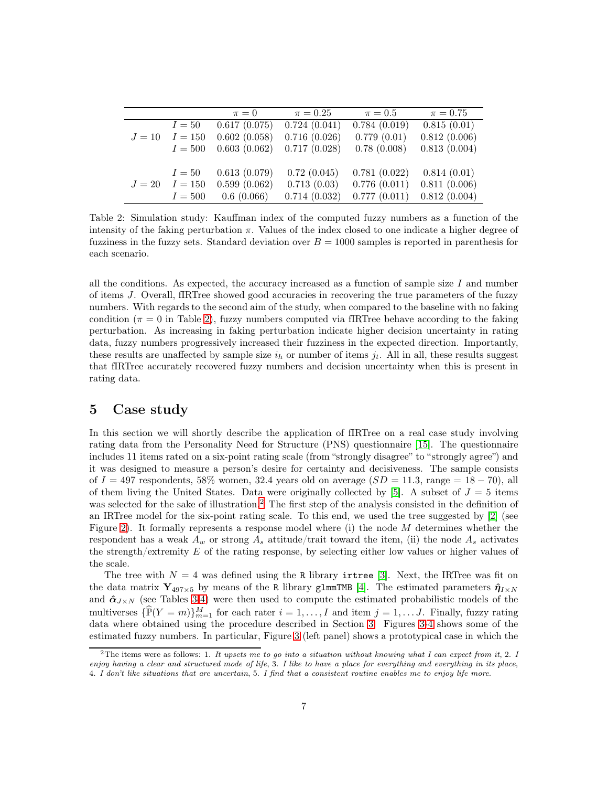|        |         | $\pi = 0$    | $\pi = 0.25$ | $\pi=0.5$        | $\pi = 0.75$ |
|--------|---------|--------------|--------------|------------------|--------------|
|        | $I=50$  | 0.617(0.075) | 0.724(0.041) | $0.784\ (0.019)$ | 0.815(0.01)  |
| $J=10$ | $I=150$ | 0.602(0.058) | 0.716(0.026) | 0.779(0.01)      | 0.812(0.006) |
|        | $I=500$ | 0.603(0.062) | 0.717(0.028) | 0.78(0.008)      | 0.813(0.004) |
|        |         |              |              |                  |              |
|        | $I=50$  | 0.613(0.079) | 0.72(0.045)  | 0.781(0.022)     | 0.814(0.01)  |
| $J=20$ | $I=150$ | 0.599(0.062) | 0.713(0.03)  | 0.776(0.011)     | 0.811(0.006) |
|        | $I=500$ | 0.6(0.066)   | 0.714(0.032) | 0.777(0.011)     | 0.812(0.004) |

<span id="page-6-0"></span>Table 2: Simulation study: Kauffman index of the computed fuzzy numbers as a function of the intensity of the faking perturbation  $\pi$ . Values of the index closed to one indicate a higher degree of fuzziness in the fuzzy sets. Standard deviation over  $B = 1000$  samples is reported in parenthesis for each scenario.

all the conditions. As expected, the accuracy increased as a function of sample size  $I$  and number of items J. Overall, fIRTree showed good accuracies in recovering the true parameters of the fuzzy numbers. With regards to the second aim of the study, when compared to the baseline with no faking condition ( $\pi = 0$  in Table [2\)](#page-6-0), fuzzy numbers computed via fIRTree behave according to the faking perturbation. As increasing in faking perturbation indicate higher decision uncertainty in rating data, fuzzy numbers progressively increased their fuzziness in the expected direction. Importantly, these results are unaffected by sample size  $i_h$  or number of items  $j_t$ . All in all, these results suggest that fIRTree accurately recovered fuzzy numbers and decision uncertainty when this is present in rating data.

#### 5 Case study

In this section we will shortly describe the application of fIRTree on a real case study involving rating data from the Personality Need for Structure (PNS) questionnaire [\[15\]](#page-10-6). The questionnaire includes 11 items rated on a six-point rating scale (from "strongly disagree" to "strongly agree") and it was designed to measure a person's desire for certainty and decisiveness. The sample consists of  $I = 497$  respondents, 58% women, 32.4 years old on average  $(SD = 11.3, \text{ range} = 18 - 70)$ , all of them living the United States. Data were originally collected by [\[5\]](#page-9-6). A subset of  $J = 5$  items was selected for the sake of illustration.<sup>[2](#page-6-1)</sup> The first step of the analysis consisted in the definition of an IRTree model for the six-point rating scale. To this end, we used the tree suggested by [\[2\]](#page-9-13) (see Figure [2\)](#page-7-0). It formally represents a response model where (i) the node M determines whether the respondent has a weak  $A_w$  or strong  $A_s$  attitude/trait toward the item, (ii) the node  $A_s$  activates the strength/extremity  $E$  of the rating response, by selecting either low values or higher values of the scale.

The tree with  $N = 4$  was defined using the R library irtree [\[3\]](#page-9-5). Next, the IRTree was fit on the data matrix  $\mathbf{Y}_{497\times5}$  by means of the R library glmmTMB [\[4\]](#page-9-12). The estimated parameters  $\hat{\eta}_{I\times N}$ and  $\hat{\alpha}_{J\times N}$  (see Tables [3](#page-7-1)[-4\)](#page-7-2) were then used to compute the estimated probabilistic models of the multiverses  $\{\widehat{\mathbb{P}}(Y=m)\}_{m=1}^M$  for each rater  $i=1,\ldots,I$  and item  $j=1,\ldots,J$ . Finally, fuzzy rating data where obtained using the procedure described in Section [3.](#page-2-1) Figures [3-](#page-8-0)[4](#page-8-1) shows some of the estimated fuzzy numbers. In particular, Figure [3](#page-8-0) (left panel) shows a prototypical case in which the

<span id="page-6-1"></span><sup>&</sup>lt;sup>2</sup>The items were as follows: 1. It upsets me to go into a situation without knowing what I can expect from it, 2. I enjoy having a clear and structured mode of life, 3. I like to have a place for everything and everything in its place, 4. I don't like situations that are uncertain, 5. I find that a consistent routine enables me to enjoy life more.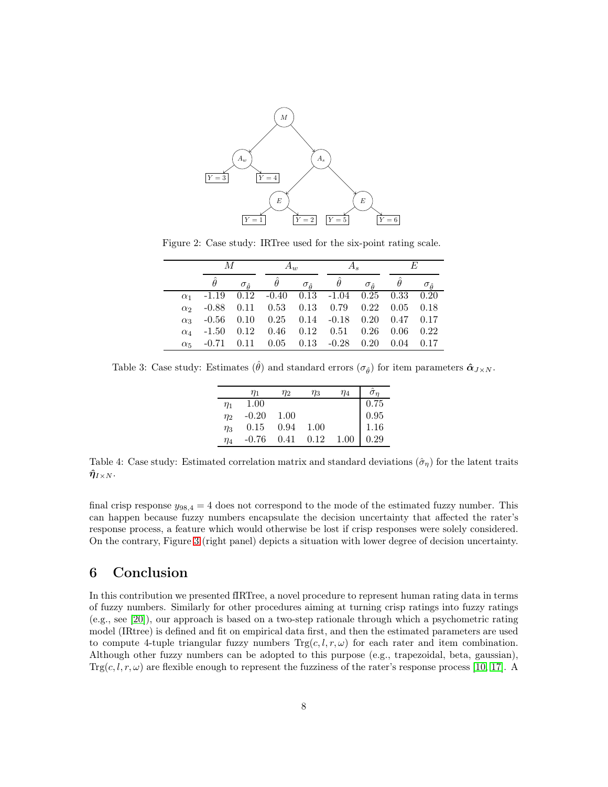

Figure 2: Case study: IRTree used for the six-point rating scale.

<span id="page-7-0"></span>

|            | М                                                         |                             | $A_w$    |                      |                                               |                      | F. |                         |
|------------|-----------------------------------------------------------|-----------------------------|----------|----------------------|-----------------------------------------------|----------------------|----|-------------------------|
|            |                                                           | $\sigma_{\hat{\mathsf{q}}}$ | $\theta$ | $\sigma_{\hat{\mu}}$ | $\theta$                                      | $\sigma_{\hat{\mu}}$ |    | $\sigma_{\hat{\theta}}$ |
|            | $\alpha_1$ -1.19 0.12 -0.40 0.13 -1.04 0.25 0.33 0.20     |                             |          |                      |                                               |                      |    |                         |
| $\alpha_2$ |                                                           |                             |          |                      | $-0.88$ 0.11 0.53 0.13 0.79 0.22 0.05 0.18    |                      |    |                         |
| $\alpha_3$ |                                                           |                             |          |                      | $-0.56$ 0.10 0.25 0.14 $-0.18$ 0.20 0.47 0.17 |                      |    |                         |
| $\alpha_4$ | $-1.50$ 0.12 0.46 0.12 0.51 0.26 0.06 0.22                |                             |          |                      |                                               |                      |    |                         |
| $\alpha_5$ | $-0.71$ $0.11$ $0.05$ $0.13$ $-0.28$ $0.20$ $0.04$ $0.17$ |                             |          |                      |                                               |                      |    |                         |

<span id="page-7-1"></span>Table 3: Case study: Estimates  $(\hat{\theta})$  and standard errors  $(\sigma_{\hat{\theta}})$  for item parameters  $\hat{\alpha}_{J \times N}$ .

|          | $\eta_1$ | $\eta_2$ | $\eta_3$ | $\eta_4$ |                                                     |
|----------|----------|----------|----------|----------|-----------------------------------------------------|
| $\eta_1$ | 1.00     |          |          |          |                                                     |
| $\eta_2$ | $-0.20$  | 1.00     |          |          |                                                     |
| $\eta_3$ | 0.15     | 0.94     | 1.00     |          | $\begin{array}{c} 0.75 \\ 0.95 \\ 1.16 \end{array}$ |
| $\eta_4$ | $-0.76$  | 0.41     | 0.12     | 1.00     | 0.29                                                |
|          |          |          |          |          |                                                     |

<span id="page-7-2"></span>Table 4: Case study: Estimated correlation matrix and standard deviations  $(\hat{\sigma}_{\eta})$  for the latent traits  $\boldsymbol{\hat\eta}_{I\times N}.$ 

final crisp response  $y_{98,4} = 4$  does not correspond to the mode of the estimated fuzzy number. This can happen because fuzzy numbers encapsulate the decision uncertainty that affected the rater's response process, a feature which would otherwise be lost if crisp responses were solely considered. On the contrary, Figure [3](#page-8-0) (right panel) depicts a situation with lower degree of decision uncertainty.

# 6 Conclusion

In this contribution we presented fIRTree, a novel procedure to represent human rating data in terms of fuzzy numbers. Similarly for other procedures aiming at turning crisp ratings into fuzzy ratings (e.g., see [\[20\]](#page-10-1)), our approach is based on a two-step rationale through which a psychometric rating model (IRtree) is defined and fit on empirical data first, and then the estimated parameters are used to compute 4-tuple triangular fuzzy numbers  $Trg(c, l, r, \omega)$  for each rater and item combination. Although other fuzzy numbers can be adopted to this purpose (e.g., trapezoidal, beta, gaussian),  $\text{Trg}(c, l, r, \omega)$  are flexible enough to represent the fuzziness of the rater's response process [\[10,](#page-9-7) [17\]](#page-10-2). A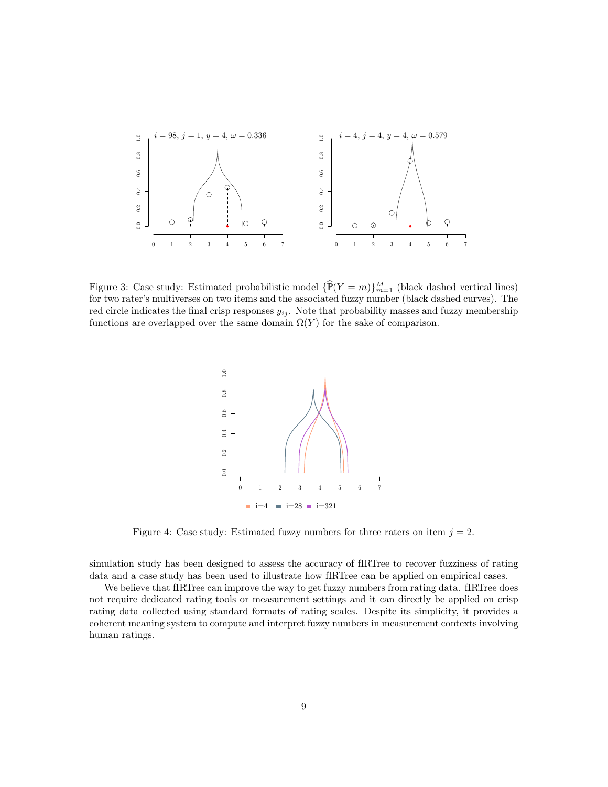

<span id="page-8-0"></span>Figure 3: Case study: Estimated probabilistic model  $\{\widehat{\mathbb{P}}(Y = m)\}_{m=1}^M$  (black dashed vertical lines) for two rater's multiverses on two items and the associated fuzzy number (black dashed curves). The red circle indicates the final crisp responses  $y_{ij}$ . Note that probability masses and fuzzy membership functions are overlapped over the same domain  $\Omega(Y)$  for the sake of comparison.



<span id="page-8-1"></span>Figure 4: Case study: Estimated fuzzy numbers for three raters on item  $j = 2$ .

simulation study has been designed to assess the accuracy of fIRTree to recover fuzziness of rating data and a case study has been used to illustrate how fIRTree can be applied on empirical cases.

We believe that fIRTree can improve the way to get fuzzy numbers from rating data. fIRTree does not require dedicated rating tools or measurement settings and it can directly be applied on crisp rating data collected using standard formats of rating scales. Despite its simplicity, it provides a coherent meaning system to compute and interpret fuzzy numbers in measurement contexts involving human ratings.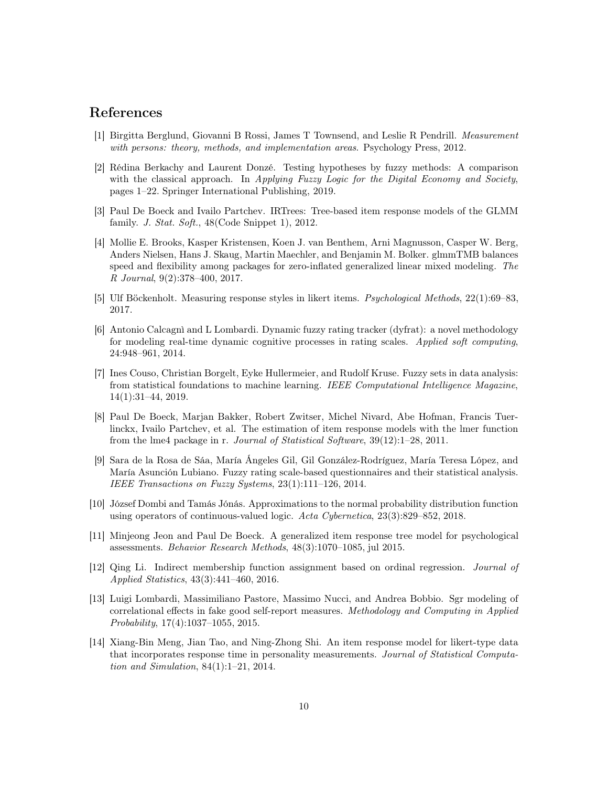#### <span id="page-9-1"></span>References

- <span id="page-9-13"></span>[1] Birgitta Berglund, Giovanni B Rossi, James T Townsend, and Leslie R Pendrill. *Measurement with persons: theory, methods, and implementation areas*. Psychology Press, 2012.
- [2] Rédina Berkachy and Laurent Donzé. Testing hypotheses by fuzzy methods: A comparison with the classical approach. In *Applying Fuzzy Logic for the Digital Economy and Society*, pages 1–22. Springer International Publishing, 2019.
- <span id="page-9-12"></span><span id="page-9-5"></span>[3] Paul De Boeck and Ivailo Partchev. IRTrees: Tree-based item response models of the GLMM family. *J. Stat. Soft.*, 48(Code Snippet 1), 2012.
- [4] Mollie E. Brooks, Kasper Kristensen, Koen J. van Benthem, Arni Magnusson, Casper W. Berg, Anders Nielsen, Hans J. Skaug, Martin Maechler, and Benjamin M. Bolker. glmmTMB balances speed and flexibility among packages for zero-inflated generalized linear mixed modeling. *The R Journal*, 9(2):378–400, 2017.
- <span id="page-9-6"></span><span id="page-9-3"></span>[5] Ulf Böckenholt. Measuring response styles in likert items. *Psychological Methods*, 22(1):69–83, 2017.
- [6] Antonio Calcagnì and L Lombardi. Dynamic fuzzy rating tracker (dyfrat): a novel methodology for modeling real-time dynamic cognitive processes in rating scales. *Applied soft computing*, 24:948–961, 2014.
- <span id="page-9-0"></span>[7] Ines Couso, Christian Borgelt, Eyke Hullermeier, and Rudolf Kruse. Fuzzy sets in data analysis: from statistical foundations to machine learning. *IEEE Computational Intelligence Magazine*, 14(1):31–44, 2019.
- <span id="page-9-8"></span>[8] Paul De Boeck, Marjan Bakker, Robert Zwitser, Michel Nivard, Abe Hofman, Francis Tuerlinckx, Ivailo Partchev, et al. The estimation of item response models with the lmer function from the lme4 package in r. *Journal of Statistical Software*, 39(12):1–28, 2011.
- <span id="page-9-2"></span>[9] Sara de la Rosa de Sáa, María Ángeles Gil, Gil González-Rodríguez, María Teresa López, and María Asunción Lubiano. Fuzzy rating scale-based questionnaires and their statistical analysis. *IEEE Transactions on Fuzzy Systems*, 23(1):111–126, 2014.
- <span id="page-9-7"></span>[10] József Dombi and Tamás Jónás. Approximations to the normal probability distribution function using operators of continuous-valued logic. *Acta Cybernetica*, 23(3):829–852, 2018.
- <span id="page-9-9"></span>[11] Minjeong Jeon and Paul De Boeck. A generalized item response tree model for psychological assessments. *Behavior Research Methods*, 48(3):1070–1085, jul 2015.
- <span id="page-9-4"></span>[12] Qing Li. Indirect membership function assignment based on ordinal regression. *Journal of Applied Statistics*, 43(3):441–460, 2016.
- <span id="page-9-11"></span>[13] Luigi Lombardi, Massimiliano Pastore, Massimo Nucci, and Andrea Bobbio. Sgr modeling of correlational effects in fake good self-report measures. *Methodology and Computing in Applied Probability*, 17(4):1037–1055, 2015.
- <span id="page-9-10"></span>[14] Xiang-Bin Meng, Jian Tao, and Ning-Zhong Shi. An item response model for likert-type data that incorporates response time in personality measurements. *Journal of Statistical Computation and Simulation*, 84(1):1–21, 2014.